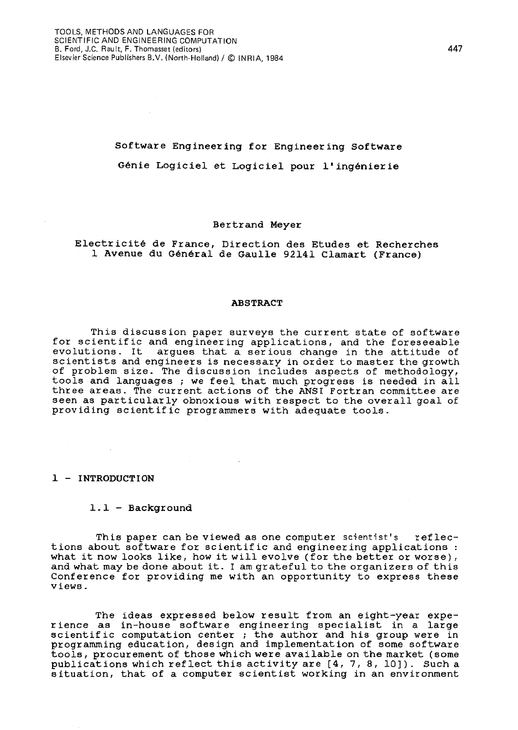# Software Engineering for Engineering Software Genie Logiciel et Logiciel pour l'ingenierie

#### Bertrand Meyer

# Electricite de France, Direction des Etudes et Recherches 1 Avenue du General de Gaulle 92141 C1amart (France)

#### ABSTRACT

This discussion paper surveys the current state of software for scientific and engineering applications, and the foreseeable evolutions. It argues that a serious change in the attitude of scientists and engineers is necessary in order to master the growth of problem size. The discussion includes aspects of methodology, tools and languages ; we feel that much progress is needed in all three areas. The current actions of the ANSI Fortran committee are seen as particularly obnoxious with respect to the overall goal of providing scientific programmers with adequate tools.

#### 1 - INTRODUCTION

#### 1.1 - Background

This paper can be viewed as one computer scientist's reflections about software for scientific and engineering applications: what it now looks like, how it will evolve (for the better or worse), and what may be done about it. I am grateful to the organizers of this Conference for providing me with an opportunity to express these views.

The ideas expressed below result from an eight-year exper ience as in-house software engineer ing spec ialist in a large scientific computation center; the author and his group were in programming education, design and implementation of some software tools, procurement of those which were available on the market (some publications which reflect this activity are [4, 7, 8, lO]). Such a situation, that of a computer scientist working in an environment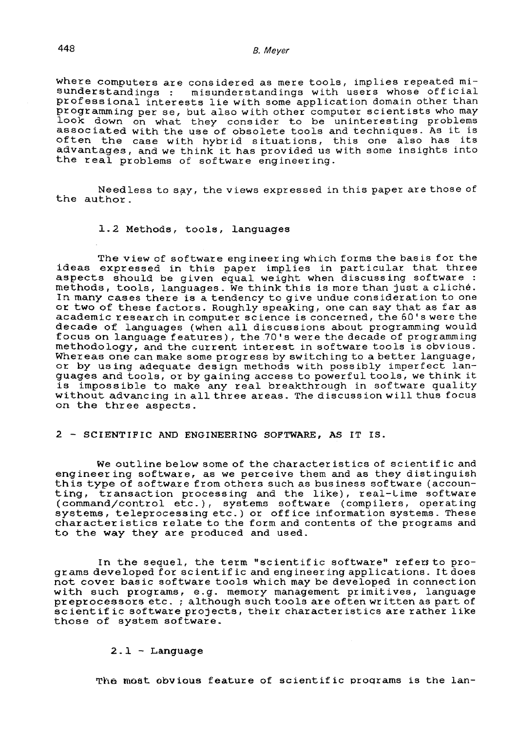where computers are considered as mere tools, implies repeated mi-<br>sunderstandings : misunderstandings with users whose official misunderstandings with users whose official professional interests lie with some application domain other than programming per se, but also with other computer scientists who may look down on what they consider to be uninteresting problems associated with the use of obsolete tools and techniques. As it is often the case with hybrid situations, this one also has its often the case with hybrid situations, this one also has its<br>advantages, and we think it has provided us with some insights into the real problems of software engineering.

Needless to say, the views expressed in this paper are those of the author.

#### 1.2 Methods, tools, languages

The view of software engineering which forms the basis for the ideas expressed in this paper implies in particular that three aspects should be given equal weight when discussing software : methods, tools, languages. We think this is more than just a cliche. In many cases there is a tendency to give undue consideration to one or two of these factors. Roughly speaking, one can say that as far as academic resear ch in computer sc ience is concerned, the 60' s were the decade of languages (when all discussions about programming would focus on language features), the 70's were the decade of programming methodo logy, and the current interest in software too ls is obvious. Whereas one can make some progress by switching to a better language, or by using adequate design methods with possibly imperfect languages and tools, or by gaining access to powerful tools, we think it is impossible to make any real breakthrough in software quality without advancing in all three areas. The discussion will thus focus on the three aspects.

## 2 - SCIENTIFIC AND ENGINEERING SOFTWARE, AS IT IS.

We outline below some of the character istics of scientif ic and engineering software, as we perceive them and as they distinguish this type of software from others such as bus iness software (accounting, transaction processing and the like), real-lime software (command/control etc.), systems software (compilers, operating systems, teleprocessing etc.) or office information systems. These character istics relate to the form and contents of the programs and to the way they are produced and used.

In the sequel, the term "scientific software" refers to programs developed for scientific and engineering applications. Itdoes not cover basic software tools which may be developed in connection with such programs, e.g. memory management primitives, language preprocessors etc. ; although such tools are often wr itten as part of scientific software projects, their characteristics are rather like those of system software.

## $2.1 - Language$

The most obvious feature of scientific programs is the lan-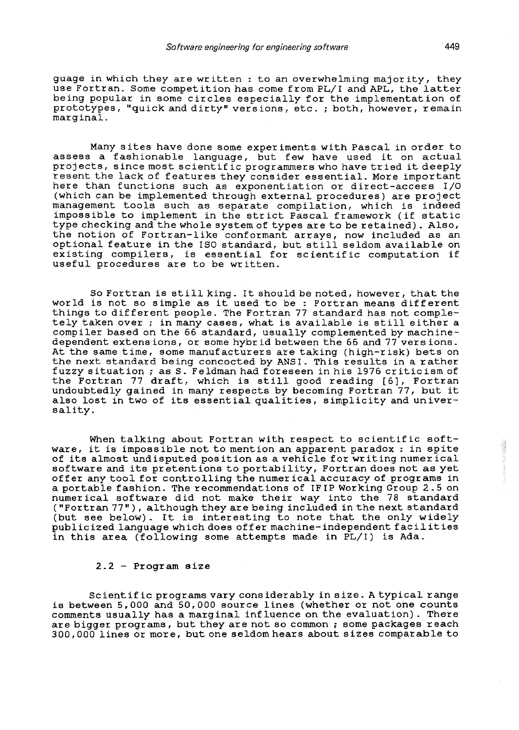guage in which they are wr itten : to an overwhelming major ity, they use Fortran. Some competition has come from PL/I and APL, the latter being popular in some circles especially for the implementation of prototypes, "quick and dirty" versions, etc. *i* both, however, remain marginal.

Many sites have done some experiments with Pascal in order to assess a fashionable language, but few have used it on actual projects, since most scientific programmers who have tried it deeply resent the lack of features they cons ider essential. More important here than functions such as exponentiation or direct-access I/O (which can be implemented through external procedures) are project management tools such as separate compilation, which is indeed impossible to implement in the strict Pascal framework (if static type checking and the whole system of types are to be retained). Also, the notion of Fortran-like conformant arrays, now included as an optional feature in the ISO standard, but still seldom available on existing compilers, is essential for scientific computation if useful procedures are to be written.

So Fortran is still king. It should be noted, however, that the world is not so simple as it used to be : Fortran means different things to different people. The Fortran 77 standard has not completely taken over; in many cases, what is available is still either a compiler based on the 66 standard, usually complemented by machinedependent extens ions, or some hybr id between the 66 and 77 vers ions. At the same time, some manufacturers are taking (high-risk) bets on the next standard being concocted by ANSI. This results in a rather fuzzy situation; as S. Feldman had foreseen in his 1976 criticism of the Fortran 77 draft, which is still good reading [61, Fortran undoubtedly gained in many respects by becoming Fortran 77, but it also lost in two of its essential qualities, simplicity and universality.

When talking about Fortran with respect to scientific software, it is impossible not to mention an apparent paradox: in spite of its almost undisputed position as a vehicle for writing numerical software and its pretentions to portability, Fortran does not as yet offer any tool for controlling the numer ical accuracy of programs in a portable fashion. The recommendations of IFIP Working Group 2.5 on numerical software did not make their way into the 78 standard ("Fortran 77"), although they are being included in the next standard (but see below). It is interesting to note that the only widely publicized language which does offer machine-independent facilities in this area (following some attempts made in PL/I) is Ada.

# 2.2 - Program size

Scientific programs vary considerably in size. A typical range is between 5,000 and 50,000 source lines (whether or not one counts comments usually has a marg inal inf luence on the evaluat ion). There are bigger programs, but they are not so common; some packages reach 300,000 lines or more, but one seldom hears about sizes comparable to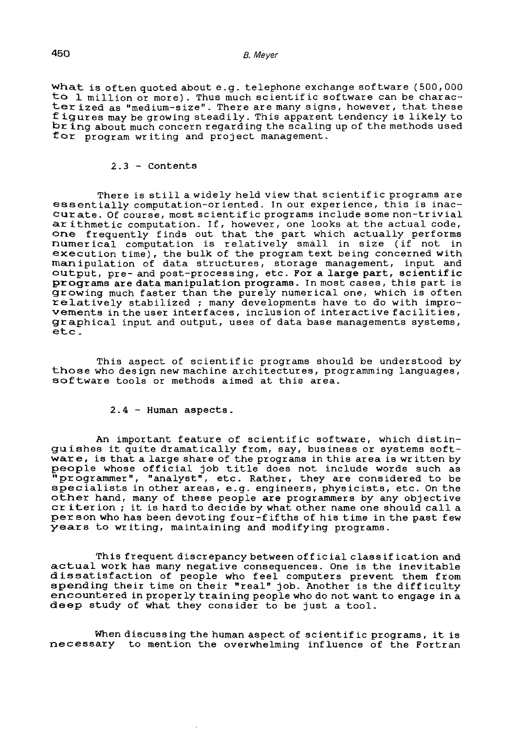what is often quoted about e. g. telephone exchange software (500, 000 to  $1$  million or more). Thus much scientific software can be character ized as "medium-size". There are many signs, however, that these figures may be growing steadily. This apparent tendency is likely to br ing about much concern regard ing the scaling up of the methods used for program writing and project management.

#### 2.3 - contents

There is still a widely held view that scientific programs are essentially computation-oriented. In our experience, this is inaccurate. Of course, most scientific programs include some non-trivial ar ithmetic computation. If, however, one looks at the actual code, arremmetre compacted: If, however, one rooks as one assair soas, numerical computation is relatively small in size (if not in execution time), the bulk of the program text being concerned with manipulation of data structures, storage management, input and output, pre- and post-process ing, etc. For a large part, scientif ic programs are data manipulation programs. In most cases, this part is growing much faster than the purely numerical one, which is often  $relatively$  stabilized ; many developments have to do with improvements in the user interfaces, inclusion of interactive facilities, graphical input and output, uses of data base managements systems, etc.

This aspect of scientific programs should be understood by those who des ign new machine architectures, programming languages, software tools or methods aimed at this area.

### 2.4 - Human aspects.

An important feature of scientific software, which distinguishes it quite dramatically from, say, business or systems software, is that a large share of the programs in this area is written by people whose official job title does not include words such as 'programmer", "analyst", etc. Rather, they are considered to be specialists in other areas, e.g. engineers, physicists, etc. On the other hand, many of these people are programmers by any objective cr iter ion; it is hard to dec ide by what other name one should call a person who has been devoting four-fifths of his time in the past few years to writing, maintaining and modifying programs.

This frequent discrepancy between off ic ial class if ication and actual work has many negative consequences. One is the inevitable dissatisfaction of people who feel computers prevent them from spending their time on their "real" job. Another is the difficulty encountered in properly training people who do not want to engage in a deep study of what they consider to be just a tool.

When discussing the human aspect of scientif ic programs, it is necessary to mention the overwhelming influence of the Fortran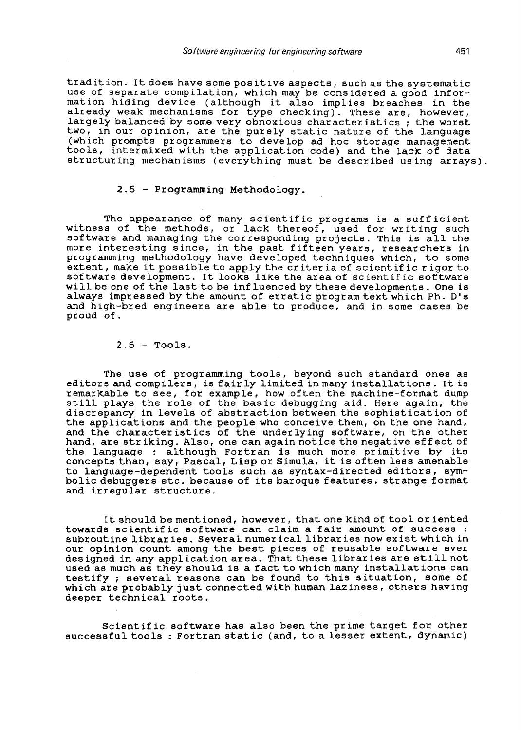tradition. It does have some positive aspects, such as the systematic use of separate compilation, which may be considered a good information hiding device (although it also implies breaches in the already weak mechanisms for type checking). These are, however, largely balanced by some very obnoxious characteristics; the worst two, in our opinion, are the purely static nature of the language (which prompts programmers to develop ad hoc storage management tools, intermixed with the application code) and the lack of data structuring mechanisms (everything must be described using arrays).

# 2.5 - Programming Methodology.

The appearance of many scientific programs is a sufficient witness of the methods, or lack thereof, used for writing such softWare and managing the corresponding projects. This is all the more interesting since, in the past fifteen years, researchers in programming methodology have developed techniques which, to some extent, make it possible to apply the criteria of scientific rigor to software development. It looks like the area of scientific software will be one of the last to be influenced by these developments. One is always impressed by the amount of erratic program text which Ph. D' s and high-bred engineers are able to produce, and in some cases be proud of.

#### $2.6$  - Tools.

The use of programming tools, beyond such standard ones as editors and compilers, is fair ly limited in many installations. It is remarkable to see, for example, how often the machine-format dump remarkable to see, for example, how often the machine-format dump<br>still plays the role of the basic debugging aid. Here again, the discrepancy in levels of abstraction between the sophistication of the applications and the people who conceive them, on the one hand, and the characteristics of the underlying software, on the other hand, are striking. Also, one can again notice the negative effect of the language : although Fortran is much more primitive by its concepts than, say, Pascal, Lisp or Simula, it is often less amenable to language-dependent tools such as syntaX-directed editors, symbolic debuggers etc. because of its baroque features, strange format and irregular structure.

It should be mentioned, however, that one kind of tool or iented towards scientific software can claim a fair amount of success: subroutine librar ies. Several numer icallibrar ies now exist which in our opinion count among the best pieces of reusable software ever des igned in any application area. That these librar ies are still not used as much as they should is a fact to which many installations can testify; several reasons can be found to this situation, some of which are probably just connected with human laziness, others having deeper technical roots.

Scientific software has also been the prime target for other successful tools: Fortran static (and, to a lesser extent, dynamic)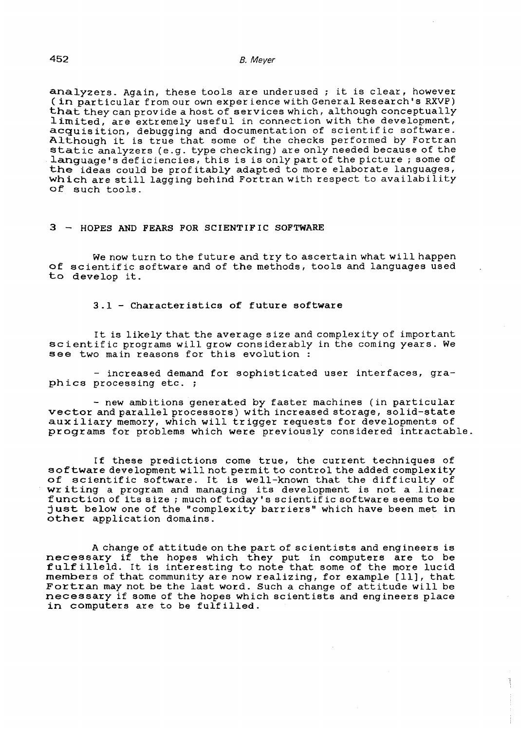analyzers. Again, these tools are underused ; it is clear, however (in particular from our own exper ience with General Research's RXVP) that they can provide a host of services which, although conceptually limited, are extremely useful in connection with the development, acquisition, debugging and documentation of scientific software. Although it is true that some of the checks performed by Fortran static analyzers (e.g. type checking) are only needed because of the language's deficiencies, this is is only part of the picture; some of the ideas could be prof itably adapted to more elaborate languages, which are still lagging behind Fortran with respect to availability of such tools.

#### 3 - HOPES AND FEARS FOR SCIENTIF IC SOFTWARE

We now turn to the future and try to ascertain what will happen of scientific software and of the methods, tools and languages used to develop it.

## 3.1 - Characteristics of future software

It is likely that the average size and complexity of important scientific programs will grow considerably in the coming years. We see two main reasons for this evolution:

- increased demand for sophisticated user interfaces, graphics processing etc. ;

- new ambitions generated by faster machines (in particular vector and parallel processors) with increased storage, solid-state aux iliary memory, which will tr igger requests for developments of programs for problems which were previously considered intractable.

If these predictions come true, the current techniques of software development will not permit to control the added complexity of scientific software. It is well-known that the difficulty of of scientific software. It is well-known that the difficulty of<br>writing a program and managing its development is not a linear function of its size; much of today' s scientif ic software seems to be just below one of the "complexity barriers" which have been met in other application domains.

A change of attitude on the part of scientists and engineers is necessary if the hopes which they put in computers are to be fulfilleld. It is interesting to note that some of the more lucid rule filters. To is interesting to note that some of the more facial members of that community are now realizing, for example [11], that Fortran may not be the last word. Such a change of attitude will be necessary if some of the hopes which scientists and engineers place in computers are to be fulfilled.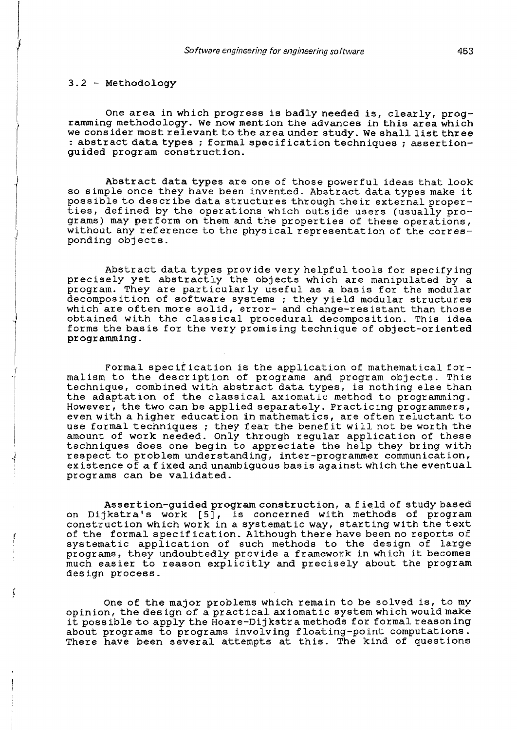·1

r I

One area in which progress is badly needed is, clearly, programming methodology. We now mention the advances in this area which we consider most relevant to the area under study. We shall list three : abstract data types; formal specification techniques; assertionguided program construction.

Abstract data types are one of those power ful ideas that look so simple once they have been invented. Abstract data types make it possible to describe data structures through their external properties, defined by the operations which outside users (usually programs) may perform on them and the properties of these operations, without any reference to the physical representation of the corresponding objects.

Abstract data types provide very helpful tools for specifying precisely yet abstractly the objects which are manipulated by a program. They are particularly useful as a basis for the modular decomposition of software systems; they yield modular structures which are often more solid, error- and change-resistant than those obtained with the classical procedural decomposition. This idea forms the basis for the very promising technique of object-oriented programming.

Formal specif ication is the application of mathematical formalism to the description of programs and program objects. This technique, combined with abstract data types, is nothing else than the adaptation of the classical axiomalic method to programming. However, the two can be applied separately. Practic ing programmers, even with a higher education in mathematics, are often reluctant to use formal techniques ; they fear the benef it wi 11 not be worth the amount of work needed. Only through regular application of these techniques does one begin to appreciate the help they bring with respect to problem understanding, inter-programmer communication, existence of a fixed and unambiguous bas is against which the eventual programs can be validated.

Assertion-guided program construction, a field of study based on Dijkstra's work  $[5]$ , is concerned with methods of program construction which work in a systematic way, starting with the text of the formal specification. Although there have been no reports of systematic application of such methods to the design of large programs, they undoubtedly provide a framework in which it becomes much easier to reason explicitly and precisely about the program design process.

One of the major problems which remain to be solved is, to my opinion, the des ign of a practical axiomatic system which would make it possible to apply the Hoare-Dijkstra methods for formal reasoning about programs to programs involving floating-point computations. There have been several attempts at this. The kind of questions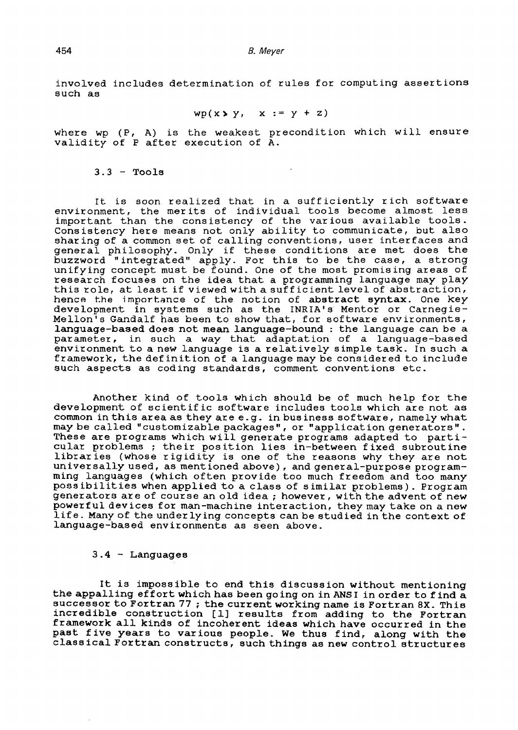involved includes determination of rules for computing assertions such as

$$
wp(x \triangleright y, x := y + z)
$$

where wp (P, A) is the weakest precondition which will ensure where  $\frac{1}{N}$  (1) is the weakest provided to  $\frac{1}{N}$ .

## $3.3$  - Tools

It is soon realized that in a sufficiently rich software environment, the merits of individual tools become almost less important than the consistency of the various available tools. Consistency here means not only ability to communicate, but also shar ing of a common set of calling conventions, user interfaces and general philosophy. Only if these conditions are met does the buzzword "integrated" apply. For this to be the case, a strong unifying concept must be found. One of the most promising areas of research focuses on the idea that a programming language may play this role, at least if viewed with a sufficient level of abstraction, hence the importance of the notion of abstract syntax. One key development in systems such as the INRIA's Mentor or Carnegie-Mellon's Gandalf has been to show that, for software environments, language-based does not mean language-bound : the language can be a parameter, in such a way that adaptation of a language-based environment to a new language is a relatively simple task. In such a framework, the definition of a language may be considered to include such aspects as coding standards, comment conventions etc.

Another kind of tools which should be of much help for the development of scientific software includes tools which are not as common in this area as they are e.g. in business software, namely what may be called "customizable packages", or "application generators". may be carried customizable packages, or apprication generators. cular problems; their position lies in-between fixed subroutine libraries (whose rigidity is one of the reasons why they are not universally used, as mentioned above), and general-purpose programming languages (which often provide too much freedom and too many poss ibilities when applied to a class of similar problems). Program generators are of course an old idea; however, with the advent of new powerful devices for man-machine interaction, they may take on a new life. Many of the underlying concepts can be studied in the context of language-based environments as seen above.

## 3 .4 - Languages

It is impossible to end this discussion without mentioning the appalling effort which has been going on in ANSI in order to find a successor to Fortran 77; the current working name is Fortran 8X. This incredible construction [1] results from adding to the Fortran framework all kinds of incoherent ideas which have occurred in the past five years to various people. We thus find, along with the class ical Fortran constructs, such things as new control structur es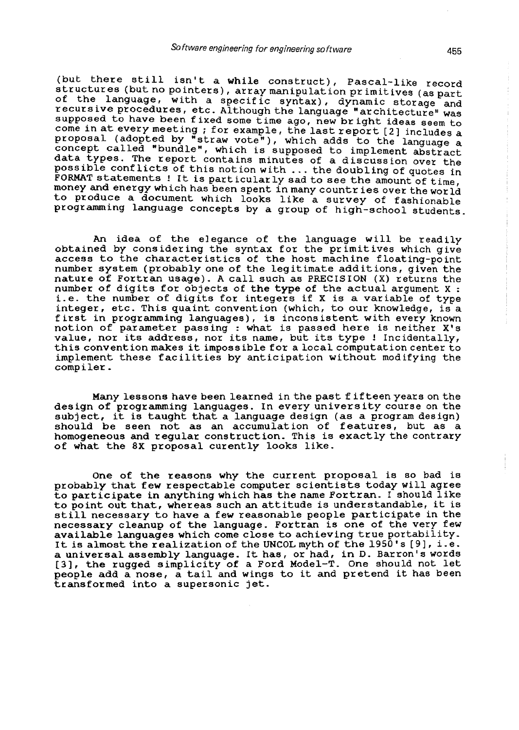(but there still isn't a while construct), Pascal-like record structures (but no pointers), array manipulation primitives (as part of the language, with a specific syntax), dynamic storage and recursive procedures, etc. Although the language "architecture" was supposed to have been fixed some time ago, new bright ideas seem to come in at every meeting; for example, the last report [2] includes a proposal (adopted by "straw vote"), which adds to the language a concept called "bundle", which is supposed to implement abstract data types. The report contains minutes of a discussion over the posslble confllcts of this notion with ... the doubling of quotes in FORMAT statements ! It is particularly sad to see the amount of time, money and energy which has been spent in many countr ies over the world to produce a document which looks like a survey of fashionable programmlng language concepts by a group of high-school students.

An idea of the elegance of the language will be readily obtained by considering the syntax for the primitives which give access to the characteristics of the host machine floating-point number system (probably one of the legitimate additions, given the nature of Fortran usage). A call such as PRECISION (X) returns the number of digits for objects of the type of the actual argument X : i.e. the number of digits for integers if X is a variable of type integer, etc. This quaint convention (which, to our knowledge, is a first in programming languages), is incons istent with every known notion of parameter passing : what is passed here is neither X's value, nor its address, nor its name, but its type! Incidentally, this convention makes it impossible for a local computation center to implement these facilities by anticipation without modifying the compiler.

Many lessons have been learned in the past fifteen years on the des ign of programming languages. In every univers ity course on the subject, it is taught that a language design (as a program design) should be seen not as an accumulation of features, but as a homogeneous and regular construction. This is exactly the contrary of what the 8X proposal curently looks like.

One of the reasons why the current proposal is so bad is probably that few respectable computer scientists today will agree to participate in anything which has the name Fortran. I should like to point out that, whereas such an attitude is understandable, it is still necessary to have a few reasonable people participate in the necessary cleanup of the language. Fortran is one of the very few available languages which come close to achieving true portability. It is almost the realization of the UNCOL myth of the 1950's [9], i.e. a universal assembly language. It has, or had, in D. Barron's words a universal assembly language. It has, of hau, in D. Barron's words<br>[3], the rugged simplicity of a Ford Model-T. One should not let people add a nose, a tail and wings to it and pretend it has been transformed into a supersonic jet.

Ť

 $\begin{array}{c} 1 \\ 1 \\ 1 \\ 1 \end{array}$